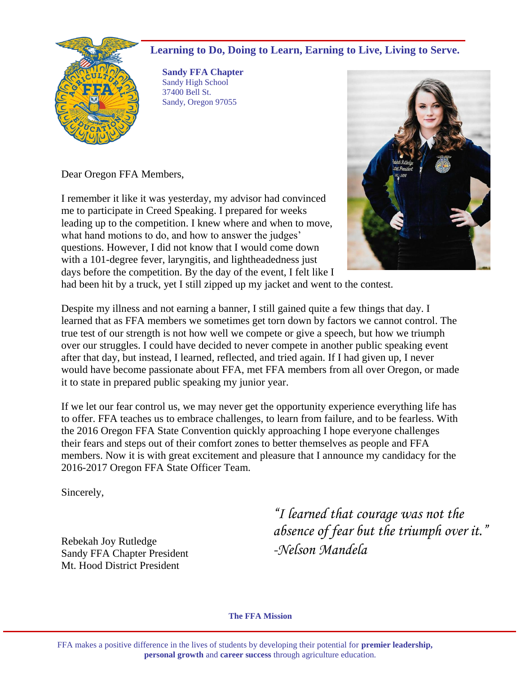# **Learning to Do, Doing to Learn, Earning to Live, Living to Serve.**



**Sandy FFA Chapter** Sandy High School 37400 Bell St. Sandy, Oregon 97055

Dear Oregon FFA Members,

I remember it like it was yesterday, my advisor had convinced me to participate in Creed Speaking. I prepared for weeks leading up to the competition. I knew where and when to move, what hand motions to do, and how to answer the judges' questions. However, I did not know that I would come down with a 101-degree fever, laryngitis, and lightheadedness just days before the competition. By the day of the event, I felt like I



had been hit by a truck, yet I still zipped up my jacket and went to the contest.

Despite my illness and not earning a banner, I still gained quite a few things that day. I learned that as FFA members we sometimes get torn down by factors we cannot control. The true test of our strength is not how well we compete or give a speech, but how we triumph over our struggles. I could have decided to never compete in another public speaking event after that day, but instead, I learned, reflected, and tried again. If I had given up, I never would have become passionate about FFA, met FFA members from all over Oregon, or made it to state in prepared public speaking my junior year.

If we let our fear control us, we may never get the opportunity experience everything life has to offer. FFA teaches us to embrace challenges, to learn from failure, and to be fearless. With the 2016 Oregon FFA State Convention quickly approaching I hope everyone challenges their fears and steps out of their comfort zones to better themselves as people and FFA members. Now it is with great excitement and pleasure that I announce my candidacy for the 2016-2017 Oregon FFA State Officer Team.

Sincerely,

Rebekah Joy Rutledge Sandy FFA Chapter President Mt. Hood District President

*"I learned that courage was not the absence of fear but the triumph over it." -Nelson Mandela*

**The FFA Mission**